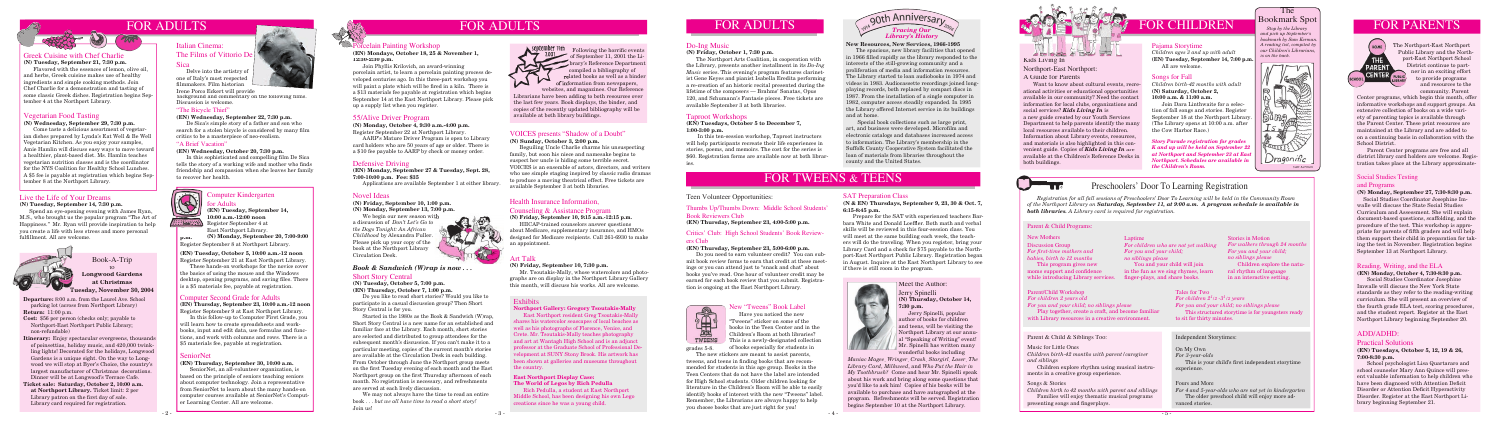#### Health Insurance Information,

#### Counseling & Assistance Program

**(N) Friday, September 10, 9:15 a.m.-12:15 p.m.** HIICAP-trained counselors answer questions about Medicare, supplementary insurance, and HMOs designed for Medicare recipients. Call 261-6930 to make



an appointment.



## FOR CHILDREN

## Bookmark Spot

 *Stop by the Library and pick up September's bookmark by Sam Kerman. A reading list, compiled by our Children's Librarians, is on the back.*

The T



## Preschoolers' Door To Learning Registration

Discussion Group *For first-time mothers and babies, birth to 12 months* This program gives new moms support and confidence while introducing Library services. finger-plays, and share books.

*Registration for all fall sessions of Preschoolers' Door To Learning will be held in the Community Room of the Northport Library on Saturday, September 11, at 9:00 a.m. A program schedule is available in both libraries. A Library card is required for registration.* 

> You and your child will join in the fun as we sing rhymes, learn

#### Novel Ideas

#### **(N) Friday, September 10, 1:00 p.m.**

**(N) Monday, September 13, 7:00 p.m.** We begin our new season with

a discussion of *Don't Let's Go to the Dogs Tonight: An African Childhood* by Alexandra Fuller. Please pick up your copy of the book at the Northport Library Circulation Desk.



*Children birth to 42 months with parent and siblings* Families will enjoy thematic musical programs presenting songs and fingerplays.

#### New Mothers

U-

Laptime

*For you and your child; no siblings please*

HOME The Northport-East Northport Public Library and the Northport-East Northport School THE District continue to part-**AREN** ner in an exciting effort CENTER to provide programs and resources to the

#### Parent/Child Workshop *For children 2 years old For you and your child; no siblings please*

Play together, create a craft, and become familiar with Library resources in a creative environment.

#### Parent & Child & Siblings Too: Independent Storytimes:

Tales for Two  $\emph{For children }$   $2^{1}$ /2 - $3^{1}$ /2 years  $^{\circ}$ *For you and your child; no siblings please* This structured storytime is for youngsters ready to sit for thirty minutes.

#### On My Own

*For 3-year-olds* This is your child's first independent storytime experience.

#### Fours and More

*For 4 and 5-year-olds who are not yet in kindergarten* The older preschool child will enjoy more advanced stories.

#### Songs & Stories

**(EN) Tuesday, September 14,**  10:00 a.m.-12:00 noon

> Music for Little Ones *Children birth-42 months with parent/caregiver and siblings*

 Children explore rhythm using musical instruments in a creative group experience.

# FOR ADULTS FOR ADULTS

#### Greek Cuisine with Chef Charlie

#### **(N) Tuesday, September 21, 7:30 p.m.**

 Flavored with the essences of lemon, olive oil, and herbs, Greek cuisine makes use of healthy ingredients and simple cooking methods. Join Chef Charlie for a demonstration and tasting of some classic Greek dishes. Registration begins September 4 at the Northport Library.

> *For children who are not yet walking For walkers through 24 months For you and your child; no siblings please* Children explore the natural rhythm of language in an interactive setting.

Spend an eye-opening evening with James Ryan, M.S., who brought us the popular program "The Art of Happiness." Mr. Ryan will provide inspiration to help you create a life with less stress and more personal fulfillment. All are welcome.



 Delve into the artistry of one of Italy's most respected filmmakers. Film historian

Irene Porco Eckert will provide background and commentary on the following films.<br>Discussion is welcome.

community. Parent Center programs, which begin this month, offer informative workshops and support groups. An extensive collection of books on a wide variety of parenting topics is available through the Parent Center. These print resources are maintained at the Library and are added to on a continuing basis in collaboration with the School District.

 Parent Center programs are free and all district library card holders are welcome. Registration takes place at the Library approximate-

## Social Studies Testing

#### and Programs

#### **(N) Monday, September 27, 7:30-8:30 p.m.**

**Longwood Gardens at Christmas Tuesday, November 30, 2004** 

 Social Studies Coordinator Josephine Imwalle will discuss the State Social Studies Curriculum and Assessment. She will explain document-based questions, scaffolding, and the procedure of the test. This workshop is appropriate for parents of fifth graders and will help them support their child in preparation for taking the test in November. Registration begins September 13 at Northport Library.

## FOR PARENTS

#### Stories in Motion

#### Parent & Child Programs:

Register September 4 at East Northport Library.

#### Computer Second Grade for Adults

**(EN) Thursday, September 23, 10:00 a.m.-12 noon** Register September 9 at East Northport Library.

 In this follow-up to Computer First Grade, you will learn how to create spreadsheets and workbooks, input and edit data, use formulas and functions, and work with columns and rows. There is a \$5 materials fee, payable at registration.

#### SeniorNet

#### **(EN) Thursday, September 30, 10:00 a.m.**

 SeniorNet, an all-volunteer organization, is based on the principle of seniors teaching seniors about computer technology. Join a representative from SeniorNet to learn about the many hands-on computer courses available at SeniorNet's Computer Learning Center. All are welcome.





#### VOICES presents "Shadow of a Doubt"

**(N) Sunday, October 3, 2:00 p.m.**

 Do you need to earn volunteer credit? You can submit book review forms to earn that credit at these meetings or you can attend just to "snack and chat" about books you've read. One hour of volunteer credit may be earned for each book review that you submit. Registration is ongoing at the East Northport Library.

 Beguiling Uncle Charlie charms his unsuspecting family, but soon his niece and namesake begins to suspect her uncle is hiding some terrible secret. VOICES is an ensemble of actors, directors, and writers who use simple staging inspired by classic radio dramas to produce a moving theatrical effect. Free tickets are available September 3 at both libraries.

#### Live the Life of Your Dreams

**(N) Tuesday, September 14, 7:30 p.m.**

#### Italian Cinema:

#### The Films of Vittorio De Sica

#### Vegetarian Food Tasting

#### **(N) Wednesday, September 29, 7:30 p.m.**

Come taste a delicious assortment of vegetarian dishes prepared by Lynda's Eat Well & Be Well Vegetarian Kitchen. As you enjoy your samples, Amie Hamlin will discuss easy ways to move toward a healthier, plant-based diet. Ms. Hamlin teaches vegetarian nutrition classes and is the coordinator for the NYS Coalition for Healthy School Lunches. A \$5 fee is payable at registration which begins September 8 at the Northport Library.

> East Northport resident Greg Tsoutakis-Mally shares his watercolor seascapes of local beaches as well as his photographs of Florence, Venice, and Crete. Mr. Tsoutakis-Mally teaches photography and art at Wantagh High School and is an adjunct professor at the Graduate School of Professional Development at SUNY Stony Brook. His artwork has been shown at galleries and museums throughout the country.

**Departure:** 8:00 a.m. from the Laurel Ave. School parking lot (across from Northport Library) **Return:** 11:00 p.m.

- **Cost:** \$56 per person (checks only; payable to Northport-East Northport Public Library; non-refundable)
- **Itinerary:** Enjoy spectacular evergreens, thousands of poinsettias, holiday music, and 420,000 twink ling lights! Decorated for the holidays, Longwood Gardens is a unique sight. On the way to Long wood we will stop at Byer's Choice, the country's largest manufacturer of Christmas decorations. Dinner will be at Longwood's Terrace Cafe.
- **Ticket sale: Saturday, October 2, 10:00 a.m. at Northport Library.** Ticket limit: 2 per Library patron on the first day of sale. Library card required for registration.

#### Book-A-Trip to

## Porcelain Painting Workshop

**(EN) Mondays, October 18, 25 & November 1, 12:30-2:30 p.m.**

Join Phyllis Krilovich, an award-winning porcelain artist, to learn a porcelain painting process developed centuries ago. In this three-part workshop you will paint a plate which will be fired in a kiln. There is a \$13 materials fee payable at registration which begins September 14 at the East Northport Library. Please pick up a supply list when you register.

#### *Book & Sandwich (W)rap is now . . .*

#### Short Story Central

**(N) Tuesday, October 5, 7:00 p.m. (EN) Thursday, October 7, 1:00 p.m.**

In this sophisticated and compelling film De Sica tells the story of a working wife and mother who finds friendship and compassion when she leaves her family to recover her health.

> Do you like to read short stories? Would you like to participate in a casual discussion group? Then Short Story Central is for you.



#### mputer Kindergarten



## Adults

Following the horrific events<br>of September 11, 2001 the Liof September 11, 2001 the Library's Reference Department compiled a bibliography of related books as well as a binder of information from newspapers, websites, and magazines. Our Reference

Started in the 1980s as the Book & Sandwich (W)rap, Short Story Central is a new name for an established and familiar face at the Library. Each month, short stories are selected and distributed to group attendees for the subsequent month's discussion. If you can't make it to a particular meeting, copies of the current month's stories are available at the Circulation Desk in each building. From October through June the Northport group meets on the first Tuesday evening of each month and the East Northport group on the first Thursday afternoon of each month. No registration is necessary, and refreshments are served at each lively discussion.

 We may not always have the time to read an entire book . . . *but we all have time to read a short story!* Join us!



#### 55/Alive Driver Program

**(N) Monday, October 4, 9:30 a.m.-4:00 p.m.** Register September 22 at Northport Library.

 AARP's Mature Driver Program is open to Library card holders who are 50 years of age or older. There is a \$10 fee payable to AARP by check or money order.

#### Defensive Driving

**(EN) Monday, September 27 & Tuesday, Sept. 28, 7:00-10:00 p.m. Fee: \$35**

Applications are available September 1 at either library.

#### Reading, Writing, and the ELA

#### **(EN) Monday, October 4, 7:30-8:30 p.m.**

 Social Studies Coordinator Josephine Imwalle will discuss the New York State standards as they refer to the reading-writing curriculum. She will present an overview of the fourth grade ELA test, scoring procedures, and the student report. Register at the East Northport Library beginning September 20.

#### ADD/ADHD:

#### Practical Solutions

#### **(EN) Tuesdays, October 5, 12, 19 & 26, 7:00-8:30 p.m.**

**(N) Monday, September 20, 7:00-9:00 p.m.** Register September 8 at Northport Library.

> School psychologist Lisa Quartararo and school counselor Mary Ann Quince will present valuable information to help children who have been diagnosed with Attention Deficit Disorder or Attention Deficit Hyperactivity Disorder. Register at the East Northport Library beginning September 21.

#### New "Tweens" Book Label

 Have you noticed the new "Tweens" sticker on some of the books in the Teen Center and in the Children's Room at both libraries? TWEENS This is a newly-designated collection of books especially for students in

#### Thumbs Up/Thumbs Down: Middle School Students' Book Reviewers Club

**(EN) Thursday, September 23, 4:00-5:00 p.m.**

#### Critics' Club: High School Students' Book Reviewers Club

#### **(EN) Thursday, September 23, 5:00-6:00 p.m.**

#### Jerry Spinelli **(N) Thursday, October 14, 7:30 p.m.**

 Jerry Spinelli, popular author of books for children and teens, will be visiting the Northport Library at our annual "Speaking of Writing" event! Mr. Spinelli has written many wonderful books including

#### SAT Preparation Class

#### **(N & EN) Thursdays, September 9, 23, 30 & Oct. 7, 6:15-8:45 p.m.**

 Prepare for the SAT with experienced teachers Barbara White and Donald Loeffler. Both math and verbal skills will be reviewed in this four-session class. You will meet at the same building each week, the teachers will do the traveling. When you register, bring your Library Card and a check for \$75 payable to the Northport-East Northport Public Library. Registration began in August. Inquire at the East Northport Library to see if there is still room in the program.



*Maniac Magee*, *Wringer*, *Crash*, *Stargirl*, *Loser*, *The Library Card*, *Milkweed*, and *Who Put the Hair in My Toothbrush?* Come and hear Mr. Spinelli speak about his work and bring along some questions that you'd like to ask him! Copies of his books will be available to purchase and have autographed at the program. Refreshments will be served. Registration begins September 10 at the Northport Library.





#### Teen Volunteer Opportunities:

grades 5-8.

 The new stickers are meant to assist parents, tweens, and teens in finding books that are recommended for students in this age group. Books in the Teen Centers that do not have the label are intended for High School students. Older children looking for literature in the Children's Room will be able to easily identify books of interest with the new "Tweens" label. Remember, the Librarians are always happy to help you choose books that are just right for you!

#### Taproot Workshops

#### **(EN) Tuesdays, October 5 to December 7, 1:00-3:00 p.m.**

 In this ten-session workshop, Taproot instructors will help participants recreate their life experiences in stories, poems, and memoirs. The cost for the series is \$60. Registration forms are available now at both libraries.

#### Art Talk

**(N) Friday, September 10, 7:30 p.m.**

Mr. Tsoutakis-Mally, whose watercolors and photographs are on display in the Northport Library Gallery this month, will discuss his works. All are welcome.

#### Exhibits

#### **Northport Gallery: Gregory Tsoutakis-Mally**

#### **East Northport Display Case: The World of Legos by Rich Pedulla**

Rich Pedulla, a student at East Northport Middle School, has been designing his own Lego creations since he was a young child.



#### **New Resources, New Services, 1966-1995**

The spacious, new library facilities that opened in 1966 fi lled rapidly as the library responded to the interests of the still-growing community and a proliferation of media and information resources. The Library started to loan audiobooks in 1974 and videos in 1983. Audiocassette recordings joined longplaying records, both replaced by compact discs in 1987. From the installation of a single computer in 1982, computer access steadily expanded. In 1995 the Library offered Internet service in its buildings and at home.

 Special book collections such as large print, art, and business were developed. Microfilm and electronic catalogs and databases increased access to information. The Library's membership in the Suffolk County Cooperative System facilitated the loan of materials from libraries throughout the county and the United States.

## FOR TWEENS & TEENS

#### Songs for Fall

*Children birth-42 months with adult* **(N) Saturday, October 2, 10:00 a.m. & 11:00 a.m.**

 Join Dara Linthwaite for a selection of fall songs and stories. Register September 18 at the Northport Library. (The Library opens at 10:00 a.m. after the Cow Harbor Race.)

#### Pajama Storytime

*Children ages 3 and up with adult* **(EN) Tuesday, September 14, 7:00 p.m.** All are welcome.

**(EN) Tuesday, October 5, 10:00 a.m.-12 noon** Register September 21 at East Northport Library.

 These hands-on workshops for the novice cover the basics of using the mouse and the Windows desktop, opening programs, and saving files. There is a \$5 materials fee, payable at registration.

#### "The Bicycle Thief"

#### **(EN) Wednesday, September 22, 7:30 p.m.**

De Sica's simple story of a father and son who search for a stolen bicycle is considered by many film critics to be a masterpiece of neo-realism.

#### "A Brief Vacation"

**(EN) Wednesday, October 20, 7:30 p.m.**

Librarians have been adding to both resources over the last few years. Book displays, the binder, and copies of the recently updated bibliography will be available at both library buildings.

## Kids Living In Northport-East Northport:

#### A Guide for Parents

 Want to know about cultural events, recreational activities or educational opportunities available in our community? Need the contact information for local clubs, organizations and social services? *Kids Living In* is a new guide created by our Youth Services Department to help parents identify the many local resources available to their children. Information about Library events, resources, and materials is also highlighted in this convenient guide. Copies of *Kids Living In* are available at the Children's Reference Desks in both buildings.

#### Do-Ing Music

**(N) Friday, October 1, 7:30 p.m.**

 The Northport Arts Coalition, in cooperation with the Library, presents another installment in its *Do-Ing Music* series. This evening's program features clarinetist Gene Keyes and pianist Isabella Eredita performing a re-creation of an historic recital presented during the lifetime of the composers — Brahms' Sonatas, Opus 120, and Schumann's Fantasie pieces. Free tickets are available September 3 at both libraries.

## FOR ADULTS

*Story Parade registration for grades K and up will be held on September 22 at Northport and September 23 at East Northport. Schedules are available in the Children's Room.*